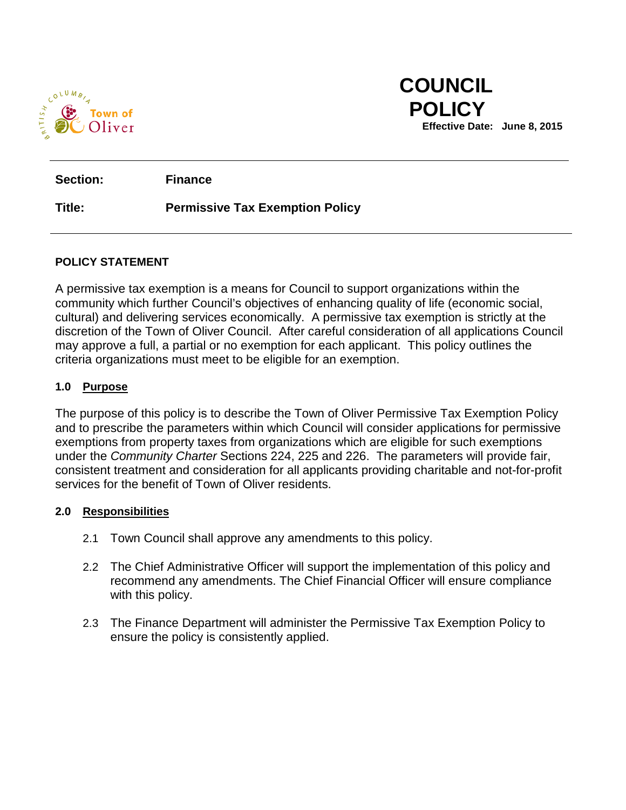

 **COUNCIL** 

**Section: Finance**

## **Title: Permissive Tax Exemption Policy**

#### **POLICY STATEMENT**

A permissive tax exemption is a means for Council to support organizations within the community which further Council's objectives of enhancing quality of life (economic social, cultural) and delivering services economically. A permissive tax exemption is strictly at the discretion of the Town of Oliver Council. After careful consideration of all applications Council may approve a full, a partial or no exemption for each applicant. This policy outlines the criteria organizations must meet to be eligible for an exemption.

#### **1.0 Purpose**

The purpose of this policy is to describe the Town of Oliver Permissive Tax Exemption Policy and to prescribe the parameters within which Council will consider applications for permissive exemptions from property taxes from organizations which are eligible for such exemptions under the *Community Charter* Sections 224, 225 and 226. The parameters will provide fair, consistent treatment and consideration for all applicants providing charitable and not-for-profit services for the benefit of Town of Oliver residents.

#### **2.0 Responsibilities**

- 2.1 Town Council shall approve any amendments to this policy.
- 2.2 The Chief Administrative Officer will support the implementation of this policy and recommend any amendments. The Chief Financial Officer will ensure compliance with this policy.
- 2.3 The Finance Department will administer the Permissive Tax Exemption Policy to ensure the policy is consistently applied.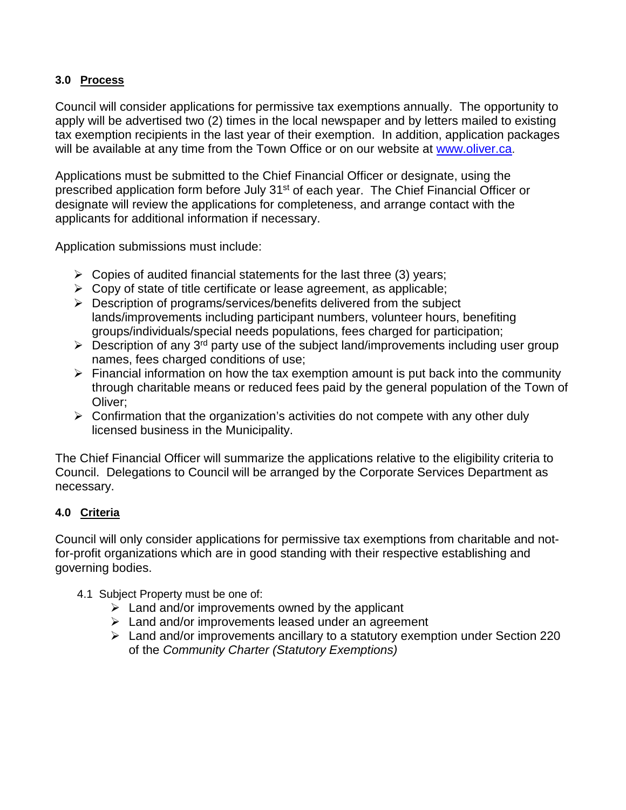## **3.0 Process**

Council will consider applications for permissive tax exemptions annually. The opportunity to apply will be advertised two (2) times in the local newspaper and by letters mailed to existing tax exemption recipients in the last year of their exemption. In addition, application packages will be available at any time from the Town Office or on our website at [www.oliver.ca.](http://www.oliver.ca/)

Applications must be submitted to the Chief Financial Officer or designate, using the prescribed application form before July 31<sup>st</sup> of each year. The Chief Financial Officer or designate will review the applications for completeness, and arrange contact with the applicants for additional information if necessary.

Application submissions must include:

- $\triangleright$  Copies of audited financial statements for the last three (3) years;
- $\triangleright$  Copy of state of title certificate or lease agreement, as applicable;
- $\triangleright$  Description of programs/services/benefits delivered from the subject lands/improvements including participant numbers, volunteer hours, benefiting groups/individuals/special needs populations, fees charged for participation;
- $\triangleright$  Description of any 3<sup>rd</sup> party use of the subject land/improvements including user group names, fees charged conditions of use;
- $\triangleright$  Financial information on how the tax exemption amount is put back into the community through charitable means or reduced fees paid by the general population of the Town of Oliver;
- $\triangleright$  Confirmation that the organization's activities do not compete with any other duly licensed business in the Municipality.

The Chief Financial Officer will summarize the applications relative to the eligibility criteria to Council. Delegations to Council will be arranged by the Corporate Services Department as necessary.

# **4.0 Criteria**

Council will only consider applications for permissive tax exemptions from charitable and notfor-profit organizations which are in good standing with their respective establishing and governing bodies.

- 4.1 Subject Property must be one of:
	- $\triangleright$  Land and/or improvements owned by the applicant
	- $\triangleright$  Land and/or improvements leased under an agreement
	- Land and/or improvements ancillary to a statutory exemption under Section 220 of the *Community Charter (Statutory Exemptions)*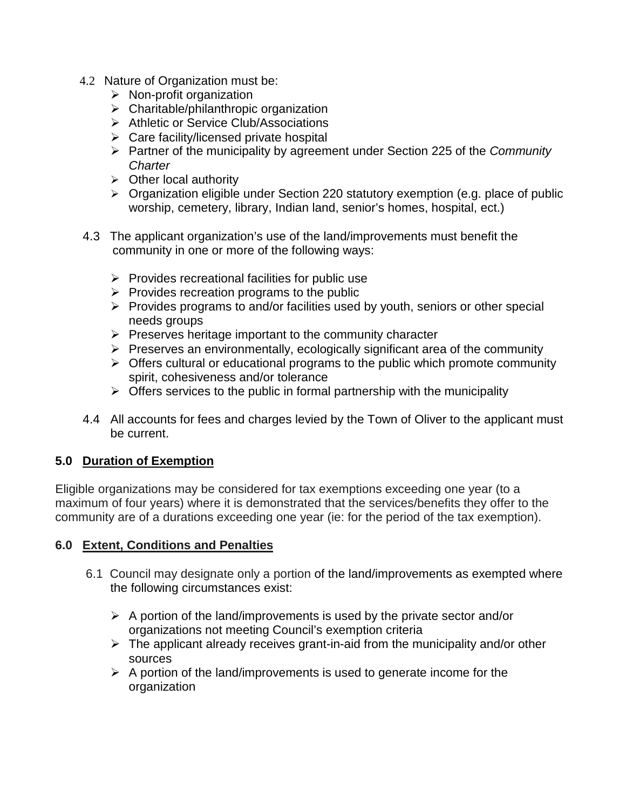- 4.2 Nature of Organization must be:
	- $\triangleright$  Non-profit organization
	- $\triangleright$  Charitable/philanthropic organization
	- > Athletic or Service Club/Associations
	- $\triangleright$  Care facility/licensed private hospital
	- Partner of the municipality by agreement under Section 225 of the *Community Charter*
	- $\triangleright$  Other local authority
	- $\triangleright$  Organization eligible under Section 220 statutory exemption (e.g. place of public worship, cemetery, library, Indian land, senior's homes, hospital, ect.)
- 4.3 The applicant organization's use of the land/improvements must benefit the community in one or more of the following ways:
	- $\triangleright$  Provides recreational facilities for public use
	- $\triangleright$  Provides recreation programs to the public
	- $\triangleright$  Provides programs to and/or facilities used by youth, seniors or other special needs groups
	- $\triangleright$  Preserves heritage important to the community character
	- $\triangleright$  Preserves an environmentally, ecologically significant area of the community
	- $\triangleright$  Offers cultural or educational programs to the public which promote community spirit, cohesiveness and/or tolerance
	- $\triangleright$  Offers services to the public in formal partnership with the municipality
- 4.4 All accounts for fees and charges levied by the Town of Oliver to the applicant must be current.

# **5.0 Duration of Exemption**

Eligible organizations may be considered for tax exemptions exceeding one year (to a maximum of four years) where it is demonstrated that the services/benefits they offer to the community are of a durations exceeding one year (ie: for the period of the tax exemption).

#### **6.0 Extent, Conditions and Penalties**

- 6.1 Council may designate only a portion of the land/improvements as exempted where the following circumstances exist:
	- $\triangleright$  A portion of the land/improvements is used by the private sector and/or organizations not meeting Council's exemption criteria
	- $\triangleright$  The applicant already receives grant-in-aid from the municipality and/or other sources
	- $\triangleright$  A portion of the land/improvements is used to generate income for the organization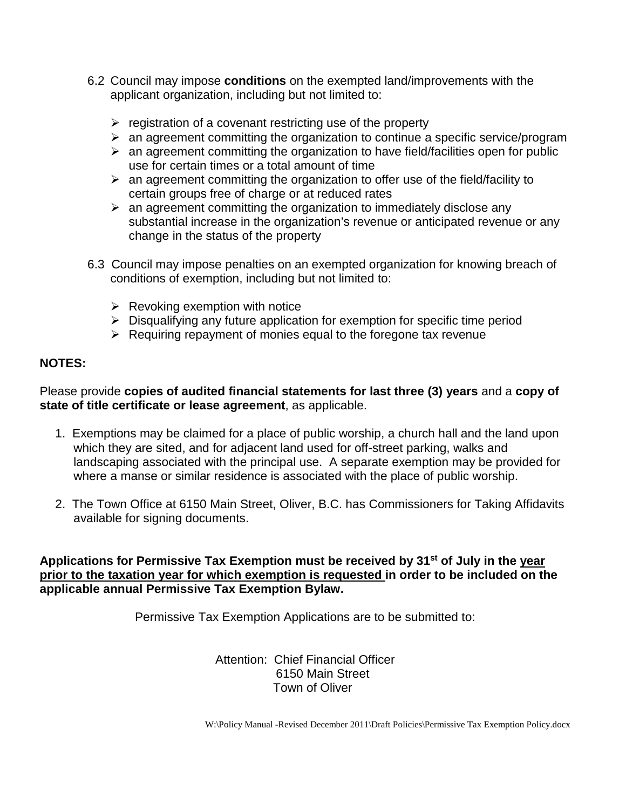- 6.2 Council may impose **conditions** on the exempted land/improvements with the applicant organization, including but not limited to:
	- $\triangleright$  registration of a covenant restricting use of the property
	- $\triangleright$  an agreement committing the organization to continue a specific service/program
	- $\triangleright$  an agreement committing the organization to have field/facilities open for public use for certain times or a total amount of time
	- $\triangleright$  an agreement committing the organization to offer use of the field/facility to certain groups free of charge or at reduced rates
	- $\triangleright$  an agreement committing the organization to immediately disclose any substantial increase in the organization's revenue or anticipated revenue or any change in the status of the property
- 6.3 Council may impose penalties on an exempted organization for knowing breach of conditions of exemption, including but not limited to:
	- $\triangleright$  Revoking exemption with notice
	- $\triangleright$  Disqualifying any future application for exemption for specific time period
	- $\triangleright$  Requiring repayment of monies equal to the foregone tax revenue

# **NOTES:**

Please provide **copies of audited financial statements for last three (3) years** and a **copy of state of title certificate or lease agreement**, as applicable.

- 1. Exemptions may be claimed for a place of public worship, a church hall and the land upon which they are sited, and for adjacent land used for off-street parking, walks and landscaping associated with the principal use. A separate exemption may be provided for where a manse or similar residence is associated with the place of public worship.
- 2. The Town Office at 6150 Main Street, Oliver, B.C. has Commissioners for Taking Affidavits available for signing documents.

**Applications for Permissive Tax Exemption must be received by 31st of July in the year prior to the taxation year for which exemption is requested in order to be included on the applicable annual Permissive Tax Exemption Bylaw.**

Permissive Tax Exemption Applications are to be submitted to:

Attention: Chief Financial Officer 6150 Main Street Town of Oliver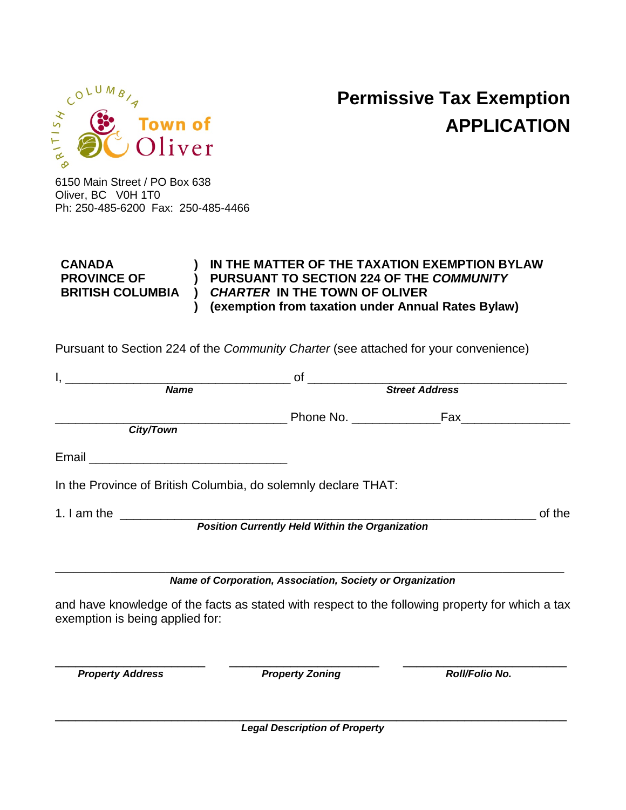

# **Permissive Tax Exemption APPLICATION**

6150 Main Street / PO Box 638 Oliver, BC V0H 1T0 Ph: 250-485-6200 Fax: 250-485-4466

| <b>CANADA</b>           | IN THE MATTER OF THE TAXATION EXEMPTION BYLAW      |
|-------------------------|----------------------------------------------------|
| <b>PROVINCE OF</b>      | PURSUANT TO SECTION 224 OF THE COMMUNITY           |
| <b>BRITISH COLUMBIA</b> | ) CHARTER IN THE TOWN OF OLIVER                    |
|                         | (exemption from taxation under Annual Rates Bylaw) |

Pursuant to Section 224 of the *Community Charter* (see attached for your convenience)

| <u> 2000 - Jan James James James James James James James James James James James James James James James James J</u> | of                                                             |                                                                                                  |  |
|----------------------------------------------------------------------------------------------------------------------|----------------------------------------------------------------|--------------------------------------------------------------------------------------------------|--|
| Name                                                                                                                 | <b>Street Address</b>                                          |                                                                                                  |  |
|                                                                                                                      |                                                                |                                                                                                  |  |
| City/Town                                                                                                            |                                                                |                                                                                                  |  |
|                                                                                                                      |                                                                |                                                                                                  |  |
|                                                                                                                      | In the Province of British Columbia, do solemnly declare THAT: |                                                                                                  |  |
|                                                                                                                      |                                                                | of the                                                                                           |  |
|                                                                                                                      | <b>Position Currently Held Within the Organization</b>         |                                                                                                  |  |
|                                                                                                                      |                                                                |                                                                                                  |  |
|                                                                                                                      | Name of Corporation, Association, Society or Organization      |                                                                                                  |  |
| exemption is being applied for:                                                                                      |                                                                | and have knowledge of the facts as stated with respect to the following property for which a tax |  |
| <b>Property Address</b>                                                                                              | <b>Property Zoning</b>                                         | Roll/Folio No.                                                                                   |  |
|                                                                                                                      |                                                                |                                                                                                  |  |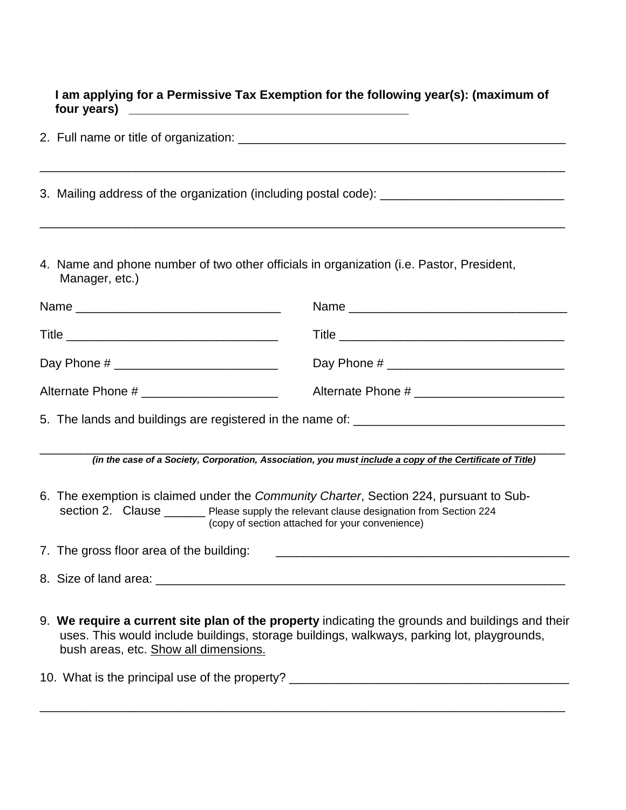**I am applying for a Permissive Tax Exemption for the following year(s): (maximum of four years) \_\_\_\_\_\_\_\_\_\_\_\_\_\_\_\_\_\_\_\_\_\_\_\_\_\_\_\_\_\_\_\_\_\_\_\_\_\_\_\_\_**

| 4. Name and phone number of two other officials in organization (i.e. Pastor, President,<br>Manager, etc.)                                                                                                                            |                                                                                                                                                                                                |  |  |  |  |
|---------------------------------------------------------------------------------------------------------------------------------------------------------------------------------------------------------------------------------------|------------------------------------------------------------------------------------------------------------------------------------------------------------------------------------------------|--|--|--|--|
|                                                                                                                                                                                                                                       |                                                                                                                                                                                                |  |  |  |  |
|                                                                                                                                                                                                                                       |                                                                                                                                                                                                |  |  |  |  |
|                                                                                                                                                                                                                                       | Day Phone # _________________________________                                                                                                                                                  |  |  |  |  |
|                                                                                                                                                                                                                                       |                                                                                                                                                                                                |  |  |  |  |
|                                                                                                                                                                                                                                       |                                                                                                                                                                                                |  |  |  |  |
|                                                                                                                                                                                                                                       | (in the case of a Society, Corporation, Association, you must include a copy of the Certificate of Title)                                                                                      |  |  |  |  |
| 6. The exemption is claimed under the Community Charter, Section 224, pursuant to Sub-<br>section 2. Clause _______ Please supply the relevant clause designation from Section 224<br>(copy of section attached for your convenience) |                                                                                                                                                                                                |  |  |  |  |
| 7. The gross floor area of the building:                                                                                                                                                                                              |                                                                                                                                                                                                |  |  |  |  |
| 8. Size of land area: <u>contract and area</u> and a series and a series of land area and a series of land and a series of the series of the series of the series of the series of the series of the series of the series of the se   |                                                                                                                                                                                                |  |  |  |  |
| bush areas, etc. Show all dimensions.                                                                                                                                                                                                 | 9. We require a current site plan of the property indicating the grounds and buildings and their<br>uses. This would include buildings, storage buildings, walkways, parking lot, playgrounds, |  |  |  |  |

\_\_\_\_\_\_\_\_\_\_\_\_\_\_\_\_\_\_\_\_\_\_\_\_\_\_\_\_\_\_\_\_\_\_\_\_\_\_\_\_\_\_\_\_\_\_\_\_\_\_\_\_\_\_\_\_\_\_\_\_\_\_\_\_\_\_\_\_\_\_\_\_\_\_\_\_\_

10. What is the principal use of the property? \_\_\_\_\_\_\_\_\_\_\_\_\_\_\_\_\_\_\_\_\_\_\_\_\_\_\_\_\_\_\_\_\_\_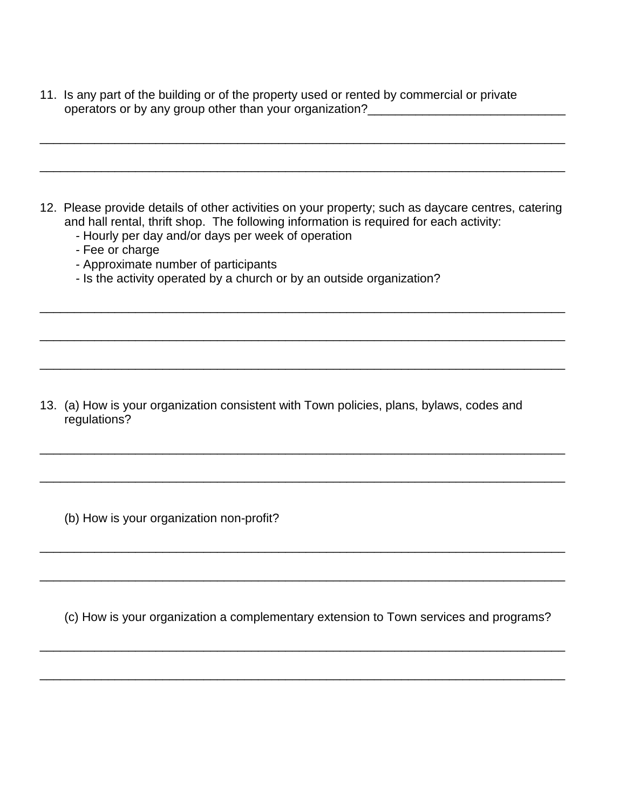11. Is any part of the building or of the property used or rented by commercial or private operators or by any group other than your organization?\_\_\_\_\_\_\_\_\_\_\_\_\_\_\_\_\_\_\_\_\_\_\_\_\_\_\_\_\_

12. Please provide details of other activities on your property; such as daycare centres, catering and hall rental, thrift shop. The following information is required for each activity:

\_\_\_\_\_\_\_\_\_\_\_\_\_\_\_\_\_\_\_\_\_\_\_\_\_\_\_\_\_\_\_\_\_\_\_\_\_\_\_\_\_\_\_\_\_\_\_\_\_\_\_\_\_\_\_\_\_\_\_\_\_\_\_\_\_\_\_\_\_\_\_\_\_\_\_\_\_

\_\_\_\_\_\_\_\_\_\_\_\_\_\_\_\_\_\_\_\_\_\_\_\_\_\_\_\_\_\_\_\_\_\_\_\_\_\_\_\_\_\_\_\_\_\_\_\_\_\_\_\_\_\_\_\_\_\_\_\_\_\_\_\_\_\_\_\_\_\_\_\_\_\_\_\_\_

\_\_\_\_\_\_\_\_\_\_\_\_\_\_\_\_\_\_\_\_\_\_\_\_\_\_\_\_\_\_\_\_\_\_\_\_\_\_\_\_\_\_\_\_\_\_\_\_\_\_\_\_\_\_\_\_\_\_\_\_\_\_\_\_\_\_\_\_\_\_\_\_\_\_\_\_\_

\_\_\_\_\_\_\_\_\_\_\_\_\_\_\_\_\_\_\_\_\_\_\_\_\_\_\_\_\_\_\_\_\_\_\_\_\_\_\_\_\_\_\_\_\_\_\_\_\_\_\_\_\_\_\_\_\_\_\_\_\_\_\_\_\_\_\_\_\_\_\_\_\_\_\_\_\_

\_\_\_\_\_\_\_\_\_\_\_\_\_\_\_\_\_\_\_\_\_\_\_\_\_\_\_\_\_\_\_\_\_\_\_\_\_\_\_\_\_\_\_\_\_\_\_\_\_\_\_\_\_\_\_\_\_\_\_\_\_\_\_\_\_\_\_\_\_\_\_\_\_\_\_\_\_

\_\_\_\_\_\_\_\_\_\_\_\_\_\_\_\_\_\_\_\_\_\_\_\_\_\_\_\_\_\_\_\_\_\_\_\_\_\_\_\_\_\_\_\_\_\_\_\_\_\_\_\_\_\_\_\_\_\_\_\_\_\_\_\_\_\_\_\_\_\_\_\_\_\_\_\_\_

\_\_\_\_\_\_\_\_\_\_\_\_\_\_\_\_\_\_\_\_\_\_\_\_\_\_\_\_\_\_\_\_\_\_\_\_\_\_\_\_\_\_\_\_\_\_\_\_\_\_\_\_\_\_\_\_\_\_\_\_\_\_\_\_\_\_\_\_\_\_\_\_\_\_\_\_\_

\_\_\_\_\_\_\_\_\_\_\_\_\_\_\_\_\_\_\_\_\_\_\_\_\_\_\_\_\_\_\_\_\_\_\_\_\_\_\_\_\_\_\_\_\_\_\_\_\_\_\_\_\_\_\_\_\_\_\_\_\_\_\_\_\_\_\_\_\_\_\_\_\_\_\_\_\_

\_\_\_\_\_\_\_\_\_\_\_\_\_\_\_\_\_\_\_\_\_\_\_\_\_\_\_\_\_\_\_\_\_\_\_\_\_\_\_\_\_\_\_\_\_\_\_\_\_\_\_\_\_\_\_\_\_\_\_\_\_\_\_\_\_\_\_\_\_\_\_\_\_\_\_\_\_

- *-* Hourly per day and/or days per week of operation
- *-* Fee or charge
- *-* Approximate number of participants
- *-* Is the activity operated by a church or by an outside organization?

13. (a) How is your organization consistent with Town policies, plans, bylaws, codes and regulations?

(b) How is your organization non-profit?

(c) How is your organization a complementary extension to Town services and programs?

\_\_\_\_\_\_\_\_\_\_\_\_\_\_\_\_\_\_\_\_\_\_\_\_\_\_\_\_\_\_\_\_\_\_\_\_\_\_\_\_\_\_\_\_\_\_\_\_\_\_\_\_\_\_\_\_\_\_\_\_\_\_\_\_\_\_\_\_\_\_\_\_\_\_\_\_\_

\_\_\_\_\_\_\_\_\_\_\_\_\_\_\_\_\_\_\_\_\_\_\_\_\_\_\_\_\_\_\_\_\_\_\_\_\_\_\_\_\_\_\_\_\_\_\_\_\_\_\_\_\_\_\_\_\_\_\_\_\_\_\_\_\_\_\_\_\_\_\_\_\_\_\_\_\_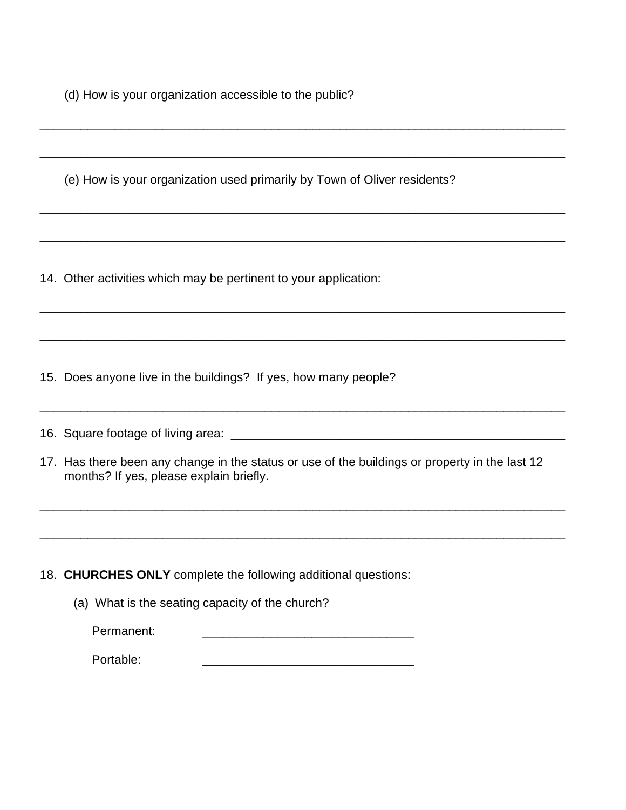(d) How is your organization accessible to the public?

(e) How is your organization used primarily by Town of Oliver residents?

\_\_\_\_\_\_\_\_\_\_\_\_\_\_\_\_\_\_\_\_\_\_\_\_\_\_\_\_\_\_\_\_\_\_\_\_\_\_\_\_\_\_\_\_\_\_\_\_\_\_\_\_\_\_\_\_\_\_\_\_\_\_\_\_\_\_\_\_\_\_\_\_\_\_\_\_\_

\_\_\_\_\_\_\_\_\_\_\_\_\_\_\_\_\_\_\_\_\_\_\_\_\_\_\_\_\_\_\_\_\_\_\_\_\_\_\_\_\_\_\_\_\_\_\_\_\_\_\_\_\_\_\_\_\_\_\_\_\_\_\_\_\_\_\_\_\_\_\_\_\_\_\_\_\_

\_\_\_\_\_\_\_\_\_\_\_\_\_\_\_\_\_\_\_\_\_\_\_\_\_\_\_\_\_\_\_\_\_\_\_\_\_\_\_\_\_\_\_\_\_\_\_\_\_\_\_\_\_\_\_\_\_\_\_\_\_\_\_\_\_\_\_\_\_\_\_\_\_\_\_\_\_

\_\_\_\_\_\_\_\_\_\_\_\_\_\_\_\_\_\_\_\_\_\_\_\_\_\_\_\_\_\_\_\_\_\_\_\_\_\_\_\_\_\_\_\_\_\_\_\_\_\_\_\_\_\_\_\_\_\_\_\_\_\_\_\_\_\_\_\_\_\_\_\_\_\_\_\_\_

\_\_\_\_\_\_\_\_\_\_\_\_\_\_\_\_\_\_\_\_\_\_\_\_\_\_\_\_\_\_\_\_\_\_\_\_\_\_\_\_\_\_\_\_\_\_\_\_\_\_\_\_\_\_\_\_\_\_\_\_\_\_\_\_\_\_\_\_\_\_\_\_\_\_\_\_\_

\_\_\_\_\_\_\_\_\_\_\_\_\_\_\_\_\_\_\_\_\_\_\_\_\_\_\_\_\_\_\_\_\_\_\_\_\_\_\_\_\_\_\_\_\_\_\_\_\_\_\_\_\_\_\_\_\_\_\_\_\_\_\_\_\_\_\_\_\_\_\_\_\_\_\_\_\_

\_\_\_\_\_\_\_\_\_\_\_\_\_\_\_\_\_\_\_\_\_\_\_\_\_\_\_\_\_\_\_\_\_\_\_\_\_\_\_\_\_\_\_\_\_\_\_\_\_\_\_\_\_\_\_\_\_\_\_\_\_\_\_\_\_\_\_\_\_\_\_\_\_\_\_\_\_

14. Other activities which may be pertinent to your application:

15. Does anyone live in the buildings? If yes, how many people?

16. Square footage of living area: \_\_\_\_\_\_\_\_\_\_\_\_\_\_\_\_\_\_\_\_\_\_\_\_\_\_\_\_\_\_\_\_\_\_\_\_\_\_\_\_\_\_\_\_\_\_\_\_\_

17. Has there been any change in the status or use of the buildings or property in the last 12 months? If yes, please explain briefly.

\_\_\_\_\_\_\_\_\_\_\_\_\_\_\_\_\_\_\_\_\_\_\_\_\_\_\_\_\_\_\_\_\_\_\_\_\_\_\_\_\_\_\_\_\_\_\_\_\_\_\_\_\_\_\_\_\_\_\_\_\_\_\_\_\_\_\_\_\_\_\_\_\_\_\_\_\_

\_\_\_\_\_\_\_\_\_\_\_\_\_\_\_\_\_\_\_\_\_\_\_\_\_\_\_\_\_\_\_\_\_\_\_\_\_\_\_\_\_\_\_\_\_\_\_\_\_\_\_\_\_\_\_\_\_\_\_\_\_\_\_\_\_\_\_\_\_\_\_\_\_\_\_\_\_

18. **CHURCHES ONLY** complete the following additional questions:

(a) What is the seating capacity of the church?

Permanent:

Portable: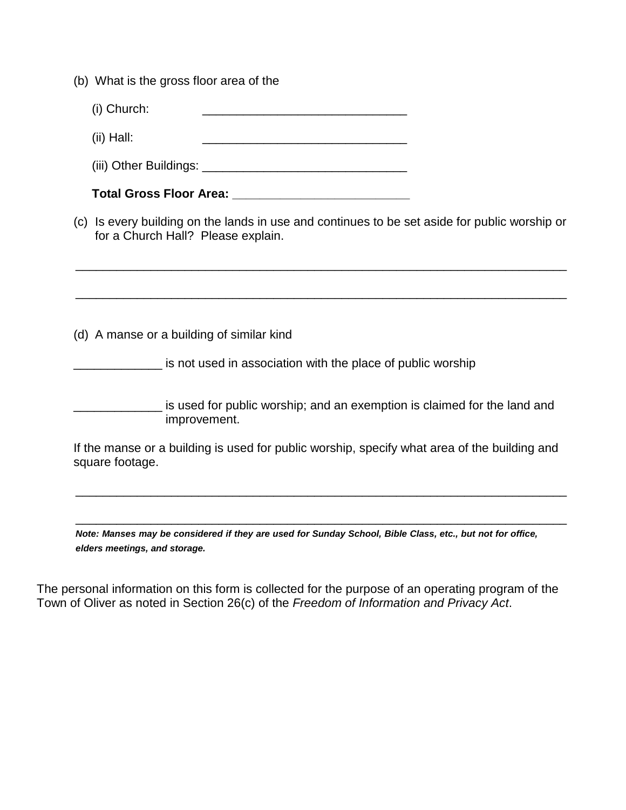|  |  |  | (b) What is the gross floor area of the |  |
|--|--|--|-----------------------------------------|--|
|--|--|--|-----------------------------------------|--|

 $(ii)$  Hall:

(iii) Other Buildings: \_\_\_\_\_\_\_\_\_\_\_\_\_\_\_\_\_\_\_\_\_\_\_\_\_\_\_\_\_\_

**Total Gross Floor Area: \_\_\_\_\_\_\_\_\_\_\_\_\_\_\_\_\_\_\_\_\_\_\_\_\_\_**

(c) Is every building on the lands in use and continues to be set aside for public worship or for a Church Hall? Please explain.

\_\_\_\_\_\_\_\_\_\_\_\_\_\_\_\_\_\_\_\_\_\_\_\_\_\_\_\_\_\_\_\_\_\_\_\_\_\_\_\_\_\_\_\_\_\_\_\_\_\_\_\_\_\_\_\_\_\_\_\_\_\_\_\_\_\_\_\_\_\_\_\_

\_\_\_\_\_\_\_\_\_\_\_\_\_\_\_\_\_\_\_\_\_\_\_\_\_\_\_\_\_\_\_\_\_\_\_\_\_\_\_\_\_\_\_\_\_\_\_\_\_\_\_\_\_\_\_\_\_\_\_\_\_\_\_\_\_\_\_\_\_\_\_\_

(d) A manse or a building of similar kind

**EXECUTE:** is not used in association with the place of public worship

\_\_\_\_\_\_\_\_\_\_\_\_\_ is used for public worship; and an exemption is claimed for the land and improvement.

If the manse or a building is used for public worship, specify what area of the building and square footage.

\_\_\_\_\_\_\_\_\_\_\_\_\_\_\_\_\_\_\_\_\_\_\_\_\_\_\_\_\_\_\_\_\_\_\_\_\_\_\_\_\_\_\_\_\_\_\_\_\_\_\_\_\_\_\_\_\_\_\_\_\_\_\_\_\_\_\_\_\_\_\_\_

\_\_\_\_\_\_\_\_\_\_\_\_\_\_\_\_\_\_\_\_\_\_\_\_\_\_\_\_\_\_\_\_\_\_\_\_\_\_\_\_\_\_\_\_\_\_\_\_\_\_\_\_\_\_\_\_\_\_\_\_\_\_\_\_\_\_\_\_\_\_\_\_

*Note: Manses may be considered if they are used for Sunday School, Bible Class, etc., but not for office, elders meetings, and storage.* 

The personal information on this form is collected for the purpose of an operating program of the Town of Oliver as noted in Section 26(c) of the *Freedom of Information and Privacy Act*.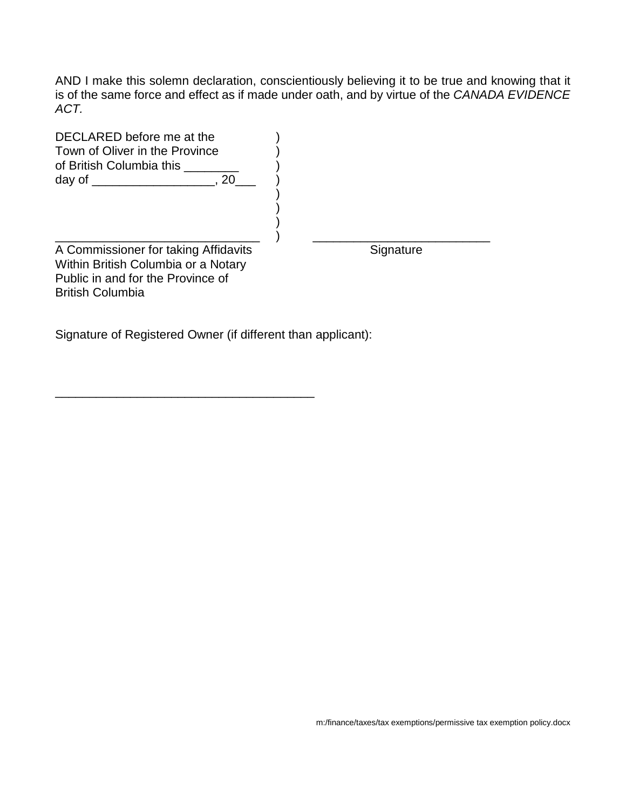AND I make this solemn declaration, conscientiously believing it to be true and knowing that it is of the same force and effect as if made under oath, and by virtue of the *CANADA EVIDENCE ACT.* 

| DECLARED before me at the<br>Town of Oliver in the Province<br>of British Columbia this<br>-20                                              |           |
|---------------------------------------------------------------------------------------------------------------------------------------------|-----------|
| A Commissioner for taking Affidavits<br>Within British Columbia or a Notary<br>Public in and for the Province of<br><b>British Columbia</b> | Signature |

Signature of Registered Owner (if different than applicant):

\_\_\_\_\_\_\_\_\_\_\_\_\_\_\_\_\_\_\_\_\_\_\_\_\_\_\_\_\_\_\_\_\_\_\_\_\_\_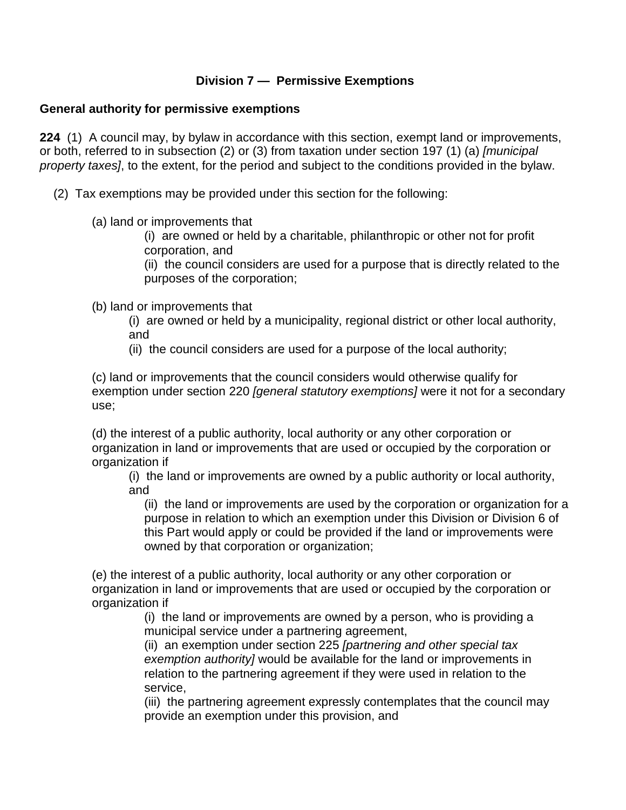## **Division 7 — Permissive Exemptions**

#### **General authority for permissive exemptions**

**224** (1) A council may, by bylaw in accordance with this section, exempt land or improvements, or both, referred to in subsection (2) or (3) from taxation under section 197 (1) (a) *[municipal property taxes]*, to the extent, for the period and subject to the conditions provided in the bylaw.

(2) Tax exemptions may be provided under this section for the following:

(a) land or improvements that

(i) are owned or held by a charitable, philanthropic or other not for profit corporation, and

(ii) the council considers are used for a purpose that is directly related to the purposes of the corporation;

(b) land or improvements that

(i) are owned or held by a municipality, regional district or other local authority, and

(ii) the council considers are used for a purpose of the local authority;

(c) land or improvements that the council considers would otherwise qualify for exemption under section 220 *[general statutory exemptions]* were it not for a secondary use;

(d) the interest of a public authority, local authority or any other corporation or organization in land or improvements that are used or occupied by the corporation or organization if

(i) the land or improvements are owned by a public authority or local authority, and

(ii) the land or improvements are used by the corporation or organization for a purpose in relation to which an exemption under this Division or Division 6 of this Part would apply or could be provided if the land or improvements were owned by that corporation or organization;

(e) the interest of a public authority, local authority or any other corporation or organization in land or improvements that are used or occupied by the corporation or organization if

(i) the land or improvements are owned by a person, who is providing a municipal service under a partnering agreement,

(ii) an exemption under section 225 *[partnering and other special tax exemption authority]* would be available for the land or improvements in relation to the partnering agreement if they were used in relation to the service,

(iii) the partnering agreement expressly contemplates that the council may provide an exemption under this provision, and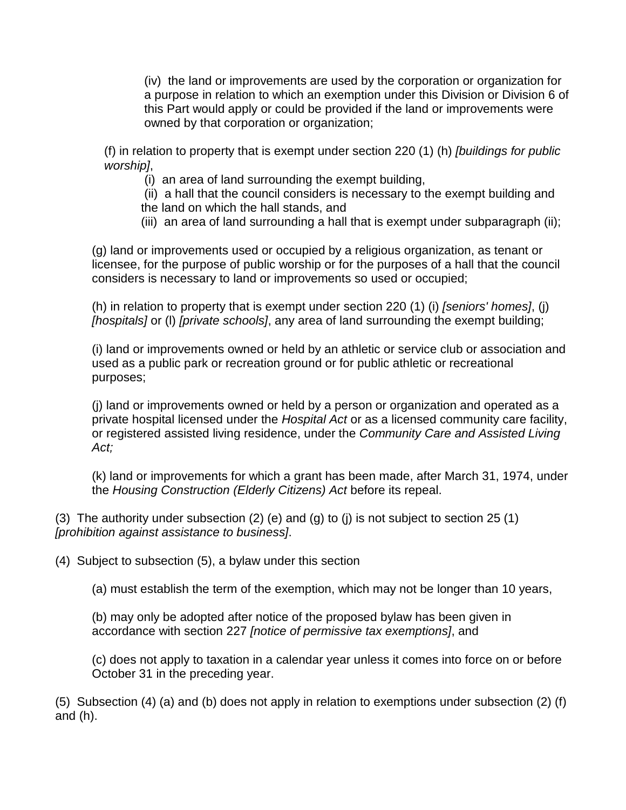(iv) the land or improvements are used by the corporation or organization for a purpose in relation to which an exemption under this Division or Division 6 of this Part would apply or could be provided if the land or improvements were owned by that corporation or organization;

(f) in relation to property that is exempt under section 220 (1) (h) *[buildings for public worship]*,

(i) an area of land surrounding the exempt building,

(ii) a hall that the council considers is necessary to the exempt building and the land on which the hall stands, and

(iii) an area of land surrounding a hall that is exempt under subparagraph (ii);

(g) land or improvements used or occupied by a religious organization, as tenant or licensee, for the purpose of public worship or for the purposes of a hall that the council considers is necessary to land or improvements so used or occupied;

(h) in relation to property that is exempt under section 220 (1) (i) *[seniors' homes]*, (j) *[hospitals]* or (l) *[private schools]*, any area of land surrounding the exempt building;

(i) land or improvements owned or held by an athletic or service club or association and used as a public park or recreation ground or for public athletic or recreational purposes;

(j) land or improvements owned or held by a person or organization and operated as a private hospital licensed under the *Hospital Act* or as a licensed community care facility, or registered assisted living residence, under the *Community Care and Assisted Living Act;*

(k) land or improvements for which a grant has been made, after March 31, 1974, under the *Housing Construction (Elderly Citizens) Act* before its repeal.

(3) The authority under subsection (2) (e) and (g) to (j) is not subject to section 25 (1) *[prohibition against assistance to business]*.

(4) Subject to subsection (5), a bylaw under this section

(a) must establish the term of the exemption, which may not be longer than 10 years,

(b) may only be adopted after notice of the proposed bylaw has been given in accordance with section 227 *[notice of permissive tax exemptions]*, and

(c) does not apply to taxation in a calendar year unless it comes into force on or before October 31 in the preceding year.

(5) Subsection (4) (a) and (b) does not apply in relation to exemptions under subsection (2) (f) and (h).